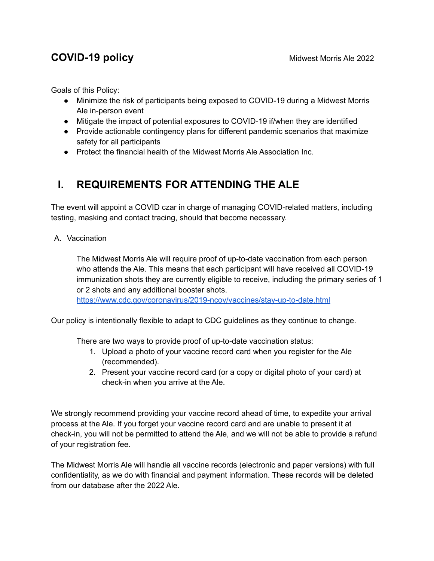### **COVID-19 policy** and the Midwest Morris Ale 2022

Goals of this Policy:

- Minimize the risk of participants being exposed to COVID-19 during a Midwest Morris Ale in-person event
- Mitigate the impact of potential exposures to COVID-19 if/when they are identified
- Provide actionable contingency plans for different pandemic scenarios that maximize safety for all participants
- Protect the financial health of the Midwest Morris Ale Association Inc.

## **I. REQUIREMENTS FOR ATTENDING THE ALE**

The event will appoint a COVID czar in charge of managing COVID-related matters, including testing, masking and contact tracing, should that become necessary.

A. Vaccination

The Midwest Morris Ale will require proof of up-to-date vaccination from each person who attends the Ale. This means that each participant will have received all COVID-19 immunization shots they are currently eligible to receive, including the primary series of 1 or 2 shots and any additional booster shots.

<https://www.cdc.gov/coronavirus/2019-ncov/vaccines/stay-up-to-date.html>

Our policy is intentionally flexible to adapt to CDC guidelines as they continue to change.

There are two ways to provide proof of up-to-date vaccination status:

- 1. Upload a photo of your vaccine record card when you register for the Ale (recommended).
- 2. Present your vaccine record card (or a copy or digital photo of your card) at check-in when you arrive at the Ale.

We strongly recommend providing your vaccine record ahead of time, to expedite your arrival process at the Ale. If you forget your vaccine record card and are unable to present it at check-in, you will not be permitted to attend the Ale, and we will not be able to provide a refund of your registration fee.

The Midwest Morris Ale will handle all vaccine records (electronic and paper versions) with full confidentiality, as we do with financial and payment information. These records will be deleted from our database after the 2022 Ale.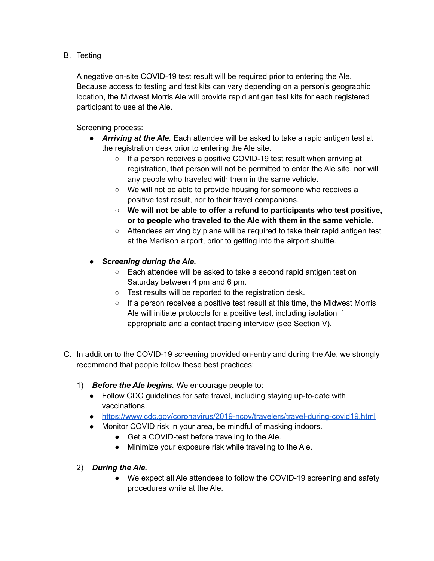#### B. Testing

A negative on-site COVID-19 test result will be required prior to entering the Ale. Because access to testing and test kits can vary depending on a person's geographic location, the Midwest Morris Ale will provide rapid antigen test kits for each registered participant to use at the Ale.

Screening process:

- *Arriving at the Ale.* Each attendee will be asked to take a rapid antigen test at the registration desk prior to entering the Ale site.
	- $\circ$  If a person receives a positive COVID-19 test result when arriving at registration, that person will not be permitted to enter the Ale site, nor will any people who traveled with them in the same vehicle.
	- We will not be able to provide housing for someone who receives a positive test result, nor to their travel companions.
	- **We will not be able to offer a refund to participants who test positive, or to people who traveled to the Ale with them in the same vehicle.**
	- Attendees arriving by plane will be required to take their rapid antigen test at the Madison airport, prior to getting into the airport shuttle.

#### ● *Screening during the Ale.*

- Each attendee will be asked to take a second rapid antigen test on Saturday between 4 pm and 6 pm.
- Test results will be reported to the registration desk.
- If a person receives a positive test result at this time, the Midwest Morris Ale will initiate protocols for a positive test, including isolation if appropriate and a contact tracing interview (see Section V).
- C. In addition to the COVID-19 screening provided on-entry and during the Ale, we strongly recommend that people follow these best practices:
	- 1) *Before the Ale begins.* We encourage people to:
		- Follow CDC guidelines for safe travel, including staying up-to-date with vaccinations.
		- <https://www.cdc.gov/coronavirus/2019-ncov/travelers/travel-during-covid19.html>
		- Monitor COVID risk in your area, be mindful of masking indoors.
			- Get a COVID-test before traveling to the Ale.
			- Minimize your exposure risk while traveling to the Ale.
	- 2) *During the Ale.*
		- We expect all Ale attendees to follow the COVID-19 screening and safety procedures while at the Ale.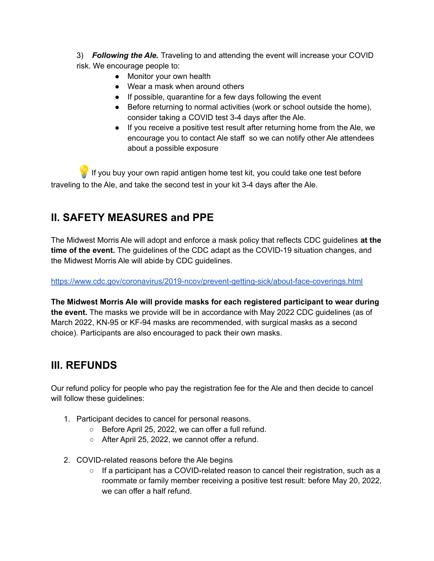3) *Following the Ale.* Traveling to and attending the event will increase your COVID risk. We encourage people to:

- Monitor your own health
- Wear a mask when around others
- If possible, quarantine for a few days following the event
- Before returning to normal activities (work or school outside the home), consider taking a COVID test 3-4 days after the Ale.
- If you receive a positive test result after returning home from the Ale, we encourage you to contact Ale staff so we can notify other Ale attendees about a possible exposure

 $\mathbb {I}$  If you buy your own rapid antigen home test kit, you could take one test before traveling to the Ale, and take the second test in your kit 3-4 days after the Ale.

# **II. SAFETY MEASURES and PPE**

The Midwest Morris Ale will adopt and enforce a mask policy that reflects CDC guidelines **at the time of the event.** The guidelines of the CDC adapt as the COVID-19 situation changes, and the Midwest Morris Ale will abide by CDC guidelines.

<https://www.cdc.gov/coronavirus/2019-ncov/prevent-getting-sick/about-face-coverings.html>

**The Midwest Morris Ale will provide masks for each registered participant to wear during the event.** The masks we provide will be in accordance with May 2022 CDC guidelines (as of March 2022, KN-95 or KF-94 masks are recommended, with surgical masks as a second choice). Participants are also encouraged to pack their own masks.

# **III. REFUNDS**

Our refund policy for people who pay the registration fee for the Ale and then decide to cancel will follow these guidelines:

- 1. Participant decides to cancel for personal reasons.
	- Before April 25, 2022, we can offer a full refund.
	- After April 25, 2022, we cannot offer a refund.
- 2. COVID-related reasons before the Ale begins
	- $\circ$  If a participant has a COVID-related reason to cancel their registration, such as a roommate or family member receiving a positive test result: before May 20, 2022, we can offer a half refund.